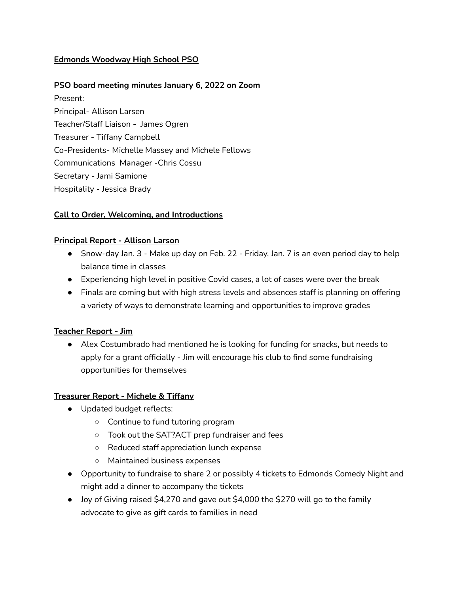# **Edmonds Woodway High School PSO**

## **PSO board meeting minutes January 6, 2022 on Zoom**

Present: Principal- Allison Larsen Teacher/Staff Liaison - James Ogren Treasurer - Tiffany Campbell Co-Presidents- Michelle Massey and Michele Fellows Communications Manager -Chris Cossu Secretary - Jami Samione Hospitality - Jessica Brady

## **Call to Order, Welcoming, and Introductions**

#### **Principal Report - Allison Larson**

- Snow-day Jan. 3 Make up day on Feb. 22 Friday, Jan. 7 is an even period day to help balance time in classes
- Experiencing high level in positive Covid cases, a lot of cases were over the break
- Finals are coming but with high stress levels and absences staff is planning on offering a variety of ways to demonstrate learning and opportunities to improve grades

#### **Teacher Report - Jim**

● Alex Costumbrado had mentioned he is looking for funding for snacks, but needs to apply for a grant officially - Jim will encourage his club to find some fundraising opportunities for themselves

#### **Treasurer Report - Michele & Tiffany**

- Updated budget reflects:
	- Continue to fund tutoring program
	- Took out the SAT?ACT prep fundraiser and fees
	- Reduced staff appreciation lunch expense
	- Maintained business expenses
- Opportunity to fundraise to share 2 or possibly 4 tickets to Edmonds Comedy Night and might add a dinner to accompany the tickets
- Joy of Giving raised \$4,270 and gave out \$4,000 the \$270 will go to the family advocate to give as gift cards to families in need